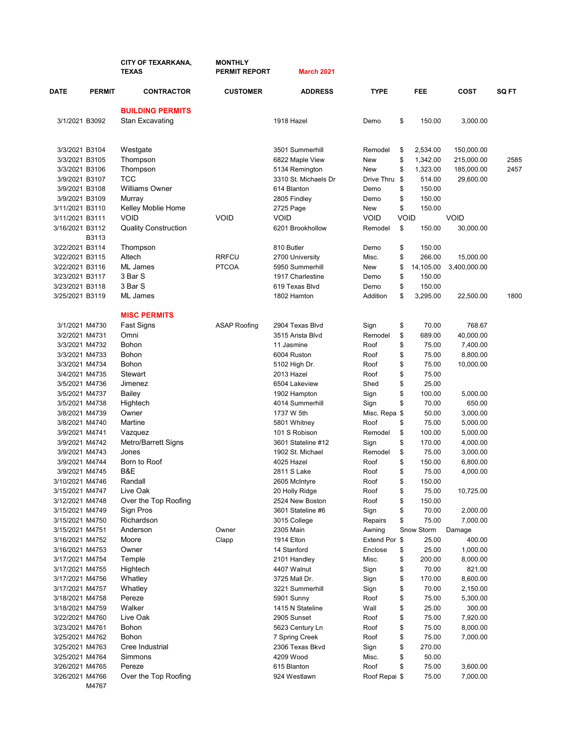|                                    |               | <b>CITY OF TEXARKANA,</b><br><b>TEXAS</b> | <b>MONTHLY</b><br><b>PERMIT REPORT</b> | <b>March 2021</b>                   |                          |                                |                      |              |
|------------------------------------|---------------|-------------------------------------------|----------------------------------------|-------------------------------------|--------------------------|--------------------------------|----------------------|--------------|
| <b>DATE</b>                        | <b>PERMIT</b> | <b>CONTRACTOR</b>                         | <b>CUSTOMER</b>                        | <b>ADDRESS</b>                      | <b>TYPE</b>              | <b>FEE</b>                     | <b>COST</b>          | <b>SQ FT</b> |
|                                    |               | <b>BUILDING PERMITS</b>                   |                                        |                                     |                          |                                |                      |              |
| 3/1/2021 B3092                     |               | <b>Stan Excavating</b>                    |                                        | 1918 Hazel                          | Demo                     | \$<br>150.00                   | 3,000.00             |              |
| 3/3/2021 B3104                     |               | Westgate                                  |                                        | 3501 Summerhill                     | Remodel                  | \$<br>2,534.00                 | 150,000.00           |              |
| 3/3/2021 B3105                     |               | Thompson                                  |                                        | 6822 Maple View                     | New                      | \$<br>1,342.00                 | 215,000.00           | 2585         |
| 3/3/2021 B3106                     |               | Thompson                                  |                                        | 5134 Remington                      | New                      | \$<br>1,323.00                 | 185,000.00           | 2457         |
| 3/9/2021 B3107                     |               | <b>TCC</b>                                |                                        | 3310 St. Michaels Dr                | Drive Thru               | \$<br>514.00                   | 29,600.00            |              |
| 3/9/2021 B3108                     |               | <b>Williams Owner</b>                     |                                        | 614 Blanton                         | Demo                     | \$<br>150.00                   |                      |              |
| 3/9/2021 B3109                     |               | Murray                                    |                                        | 2805 Findley                        | Demo                     | \$<br>150.00                   |                      |              |
| 3/11/2021 B3110<br>3/11/2021 B3111 |               | Kelley Moblie Home<br><b>VOID</b>         | <b>VOID</b>                            | 2725 Page<br>VOID                   | New<br><b>VOID</b>       | \$<br>150.00<br><b>VOID</b>    | <b>VOID</b>          |              |
| 3/16/2021 B3112                    |               | <b>Quality Construction</b>               |                                        | 6201 Brookhollow                    | Remodel                  | \$<br>150.00                   | 30,000.00            |              |
|                                    | B3113         |                                           |                                        |                                     |                          |                                |                      |              |
| 3/22/2021 B3114                    |               | Thompson                                  |                                        | 810 Butler                          | Demo                     | \$<br>150.00                   |                      |              |
| 3/22/2021 B3115                    |               | Altech                                    | <b>RRFCU</b>                           | 2700 University                     | Misc.                    | \$<br>266.00                   | 15,000.00            |              |
| 3/22/2021 B3116                    |               | <b>ML</b> James                           | <b>PTCOA</b>                           | 5950 Summerhill                     | New                      | \$<br>14,105.00                | 3,400,000.00         |              |
| 3/23/2021 B3117                    |               | 3 Bar S<br>3 Bar S                        |                                        | 1917 Charlestine<br>619 Texas Blvd  | Demo                     | \$<br>150.00                   |                      |              |
| 3/23/2021 B3118<br>3/25/2021 B3119 |               | ML James                                  |                                        | 1802 Hamton                         | Demo<br>Addition         | \$<br>150.00<br>\$<br>3,295.00 | 22,500.00            | 1800         |
|                                    |               |                                           |                                        |                                     |                          |                                |                      |              |
|                                    |               | <b>MISC PERMITS</b>                       |                                        |                                     |                          |                                |                      |              |
| 3/1/2021 M4730<br>3/2/2021 M4731   |               | Fast Signs<br>Omni                        | <b>ASAP Roofing</b>                    | 2904 Texas Blvd<br>3515 Arista Blvd | Sign<br>Remodel          | \$<br>70.00<br>\$<br>689.00    | 768.67<br>40,000.00  |              |
| 3/3/2021 M4732                     |               | Bohon                                     |                                        | 11 Jasmine                          | Roof                     | \$<br>75.00                    | 7,400.00             |              |
| 3/3/2021 M4733                     |               | Bohon                                     |                                        | 6004 Ruston                         | Roof                     | \$<br>75.00                    | 8,800.00             |              |
| 3/3/2021 M4734                     |               | <b>Bohon</b>                              |                                        | 5102 High Dr.                       | Roof                     | \$<br>75.00                    | 10,000.00            |              |
| 3/4/2021 M4735                     |               | Stewart                                   |                                        | 2013 Hazel                          | Roof                     | \$<br>75.00                    |                      |              |
| 3/5/2021 M4736                     |               | Jimenez                                   |                                        | 6504 Lakeview                       | Shed                     | \$<br>25.00                    |                      |              |
| 3/5/2021 M4737                     |               | <b>Bailey</b>                             |                                        | 1902 Hampton                        | Sign                     | \$<br>100.00                   | 5,000.00             |              |
| 3/5/2021 M4738                     |               | Hightech                                  |                                        | 4014 Summerhill                     | Sign                     | \$<br>70.00                    | 650.00               |              |
| 3/8/2021 M4739                     |               | Owner                                     |                                        | 1737 W 5th                          | Misc. Repa \$            | 50.00                          | 3,000.00             |              |
| 3/8/2021 M4740                     |               | Martine                                   |                                        | 5801 Whitney                        | Roof                     | \$<br>75.00                    | 5,000.00             |              |
| 3/9/2021 M4741<br>3/9/2021 M4742   |               | Vazquez<br>Metro/Barrett Signs            |                                        | 101 S Robison<br>3601 Stateline #12 | Remodel                  | \$<br>100.00<br>\$<br>170.00   | 5,000.00<br>4,000.00 |              |
| 3/9/2021 M4743                     |               | Jones                                     |                                        | 1902 St. Michael                    | Sign<br>Remodel          | \$<br>75.00                    | 3,000.00             |              |
| 3/9/2021 M4744                     |               | Born to Roof                              |                                        | 4025 Hazel                          | Roof                     | \$<br>150.00                   | 6,800.00             |              |
| 3/9/2021 M4745                     |               | B&E                                       |                                        | 2811 S Lake                         | Roof                     | \$<br>75.00                    | 4,000.00             |              |
| 3/10/2021 M4746                    |               | Randall                                   |                                        | 2605 McIntyre                       | Roof                     | \$<br>150.00                   |                      |              |
| 3/15/2021 M4747                    |               | Live Oak                                  |                                        | 20 Holly Ridge                      | Roof                     | \$<br>75.00                    | 10,725.00            |              |
| 3/12/2021 M4748                    |               | Over the Top Roofing                      |                                        | 2524 New Boston                     | Roof                     | \$<br>150.00                   |                      |              |
| 3/15/2021 M4749                    |               | Sign Pros                                 |                                        | 3601 Stateline #6                   | Sign                     | \$<br>70.00                    | 2,000.00             |              |
| 3/15/2021 M4750                    |               | Richardson                                |                                        | 3015 College                        | Repairs                  | \$<br>75.00                    | 7,000.00             |              |
| 3/15/2021 M4751                    |               | Anderson                                  | Owner                                  | 2305 Main                           | Awning                   | Snow Storm                     | Damage               |              |
| 3/16/2021 M4752<br>3/16/2021 M4753 |               | Moore<br>Owner                            | Clapp                                  | 1914 Elton<br>14 Stanford           | Extend Por \$<br>Enclose | 25.00<br>25.00                 | 400.00               |              |
| 3/17/2021 M4754                    |               | Temple                                    |                                        | 2101 Handley                        | Misc.                    | \$<br>\$<br>200.00             | 1,000.00<br>8,000.00 |              |
| 3/17/2021 M4755                    |               | Hightech                                  |                                        | 4407 Walnut                         | Sign                     | \$<br>70.00                    | 821.00               |              |
| 3/17/2021 M4756                    |               | Whatley                                   |                                        | 3725 Mall Dr.                       | Sign                     | \$<br>170.00                   | 8,600.00             |              |
| 3/17/2021 M4757                    |               | Whatley                                   |                                        | 3221 Summerhill                     | Sign                     | \$<br>70.00                    | 2,150.00             |              |
| 3/18/2021 M4758                    |               | Pereze                                    |                                        | 5901 Sunny                          | Roof                     | \$<br>75.00                    | 5,300.00             |              |
| 3/18/2021 M4759                    |               | Walker                                    |                                        | 1415 N Stateline                    | Wall                     | \$<br>25.00                    | 300.00               |              |
| 3/22/2021 M4760                    |               | Live Oak                                  |                                        | 2905 Sunset                         | Roof                     | \$<br>75.00                    | 7,920.00             |              |
| 3/23/2021 M4761                    |               | Bohon                                     |                                        | 5623 Century Ln                     | Roof                     | \$<br>75.00                    | 8,000.00             |              |
| 3/25/2021 M4762                    |               | Bohon                                     |                                        | 7 Spring Creek                      | Roof                     | \$<br>75.00                    | 7,000.00             |              |
| 3/25/2021 M4763                    |               | Cree Industrial                           |                                        | 2306 Texas Bkvd                     | Sign                     | \$<br>270.00                   |                      |              |
| 3/25/2021 M4764                    |               | Simmons                                   |                                        | 4209 Wood                           | Misc.                    | \$<br>50.00                    |                      |              |
| 3/26/2021 M4765<br>3/26/2021 M4766 |               | Pereze<br>Over the Top Roofing            |                                        | 615 Blanton<br>924 Westlawn         | Roof<br>Roof Repai \$    | \$<br>75.00<br>75.00           | 3,600.00<br>7,000.00 |              |
|                                    | M4767         |                                           |                                        |                                     |                          |                                |                      |              |
|                                    |               |                                           |                                        |                                     |                          |                                |                      |              |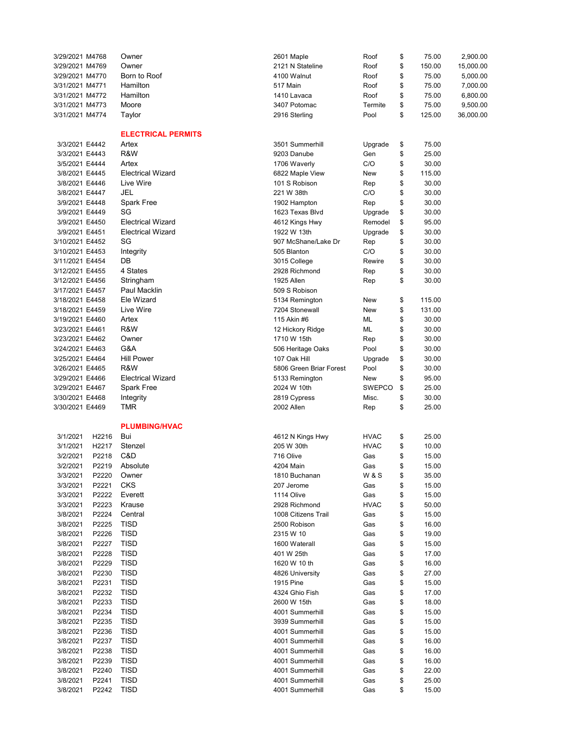| 3/29/2021 M4768 |       | Owner                     | 2601 Maple              | Roof        | \$<br>75.00  | 2,900.00  |
|-----------------|-------|---------------------------|-------------------------|-------------|--------------|-----------|
| 3/29/2021 M4769 |       | Owner                     | 2121 N Stateline        | Roof        | \$<br>150.00 | 15,000.00 |
| 3/29/2021 M4770 |       | Born to Roof              | 4100 Walnut             | Roof        | \$<br>75.00  | 5,000.00  |
|                 |       | Hamilton                  |                         |             |              |           |
| 3/31/2021 M4771 |       |                           | 517 Main                | Roof        | \$<br>75.00  | 7,000.00  |
| 3/31/2021 M4772 |       | Hamilton                  | 1410 Lavaca             | Roof        | \$<br>75.00  | 6,800.00  |
| 3/31/2021 M4773 |       | Moore                     | 3407 Potomac            | Termite     | \$<br>75.00  | 9,500.00  |
| 3/31/2021 M4774 |       | Taylor                    | 2916 Sterling           | Pool        | \$<br>125.00 | 36,000.00 |
|                 |       |                           |                         |             |              |           |
|                 |       | <b>ELECTRICAL PERMITS</b> |                         |             |              |           |
| 3/3/2021 E4442  |       | Artex                     | 3501 Summerhill         | Upgrade     | \$<br>75.00  |           |
| 3/3/2021 E4443  |       | R&W                       | 9203 Danube             | Gen         | \$<br>25.00  |           |
|                 |       |                           |                         |             |              |           |
| 3/5/2021 E4444  |       | Artex                     | 1706 Waverly            | C/O         | \$<br>30.00  |           |
| 3/8/2021 E4445  |       | <b>Electrical Wizard</b>  | 6822 Maple View         | New         | \$<br>115.00 |           |
| 3/8/2021 E4446  |       | Live Wire                 | 101 S Robison           | Rep         | \$<br>30.00  |           |
| 3/8/2021 E4447  |       | JEL                       | 221 W 38th              | C/O         | \$<br>30.00  |           |
| 3/9/2021 E4448  |       | <b>Spark Free</b>         | 1902 Hampton            | Rep         | \$<br>30.00  |           |
| 3/9/2021 E4449  |       | SG                        | 1623 Texas Blvd         | Upgrade     | \$<br>30.00  |           |
| 3/9/2021 E4450  |       | <b>Electrical Wizard</b>  | 4612 Kings Hwy          | Remodel     | \$<br>95.00  |           |
| 3/9/2021 E4451  |       | <b>Electrical Wizard</b>  | 1922 W 13th             | Upgrade     | \$<br>30.00  |           |
|                 |       |                           |                         |             |              |           |
| 3/10/2021 E4452 |       | SG                        | 907 McShane/Lake Dr     | Rep         | \$<br>30.00  |           |
| 3/10/2021 E4453 |       | Integrity                 | 505 Blanton             | C/O         | \$<br>30.00  |           |
| 3/11/2021 E4454 |       | DB                        | 3015 College            | Rewire      | \$<br>30.00  |           |
| 3/12/2021 E4455 |       | 4 States                  | 2928 Richmond           | Rep         | \$<br>30.00  |           |
| 3/12/2021 E4456 |       | Stringham                 | 1925 Allen              | Rep         | \$<br>30.00  |           |
| 3/17/2021 E4457 |       | Paul Macklin              | 509 S Robison           |             |              |           |
| 3/18/2021 E4458 |       | Ele Wizard                | 5134 Remington          | New         | \$<br>115.00 |           |
| 3/18/2021 E4459 |       | Live Wire                 | 7204 Stonewall          | New         | \$<br>131.00 |           |
|                 |       | Artex                     | 115 Akin #6             | ML          | \$           |           |
| 3/19/2021 E4460 |       |                           |                         |             | 30.00        |           |
| 3/23/2021 E4461 |       | R&W                       | 12 Hickory Ridge        | ML          | \$<br>30.00  |           |
| 3/23/2021 E4462 |       | Owner                     | 1710 W 15th             | Rep         | \$<br>30.00  |           |
| 3/24/2021 E4463 |       | G&A                       | 506 Heritage Oaks       | Pool        | \$<br>30.00  |           |
| 3/25/2021 E4464 |       | <b>Hill Power</b>         | 107 Oak Hill            | Upgrade     | \$<br>30.00  |           |
| 3/26/2021 E4465 |       | R&W                       | 5806 Green Briar Forest | Pool        | \$<br>30.00  |           |
| 3/29/2021 E4466 |       | <b>Electrical Wizard</b>  | 5133 Remington          | New         | \$<br>95.00  |           |
| 3/29/2021 E4467 |       | <b>Spark Free</b>         | 2024 W 10th             | SWEPCO      | \$<br>25.00  |           |
| 3/30/2021 E4468 |       |                           |                         | Misc.       | \$<br>30.00  |           |
|                 |       | Integrity                 | 2819 Cypress            |             | \$           |           |
| 3/30/2021 E4469 |       | TMR                       | 2002 Allen              | Rep         | 25.00        |           |
|                 |       |                           |                         |             |              |           |
|                 |       | <b>PLUMBING/HVAC</b>      |                         |             |              |           |
| 3/1/2021        | H2216 | Bui                       | 4612 N Kings Hwy        | <b>HVAC</b> | \$<br>25.00  |           |
| 3/1/2021        | H2217 | Stenzel                   | 205 W 30th              | <b>HVAC</b> | \$<br>10.00  |           |
| 3/2/2021        | P2218 | C&D                       | 716 Olive               | Gas         | \$<br>15.00  |           |
| 3/2/2021        | P2219 | Absolute                  | 4204 Main               | Gas         | \$<br>15.00  |           |
| 3/3/2021        | P2220 | Owner                     | 1810 Buchanan           | W & S       | \$<br>35.00  |           |
| 3/3/2021        | P2221 | CKS                       | 207 Jerome              | Gas         | \$<br>15.00  |           |
|                 | P2222 | Everett                   |                         |             | 15.00        |           |
| 3/3/2021        |       |                           | 1114 Olive              | Gas         | \$           |           |
| 3/3/2021        | P2223 | Krause                    | 2928 Richmond           | <b>HVAC</b> | \$<br>50.00  |           |
| 3/8/2021        | P2224 | Central                   | 1008 Citizens Trail     | Gas         | \$<br>15.00  |           |
| 3/8/2021        | P2225 | TISD                      | 2500 Robison            | Gas         | \$<br>16.00  |           |
| 3/8/2021        | P2226 | <b>TISD</b>               | 2315 W 10               | Gas         | \$<br>19.00  |           |
| 3/8/2021        | P2227 | <b>TISD</b>               | 1600 Waterall           | Gas         | \$<br>15.00  |           |
| 3/8/2021        | P2228 | <b>TISD</b>               | 401 W 25th              | Gas         | \$<br>17.00  |           |
| 3/8/2021        | P2229 | <b>TISD</b>               | 1620 W 10 th            | Gas         | \$<br>16.00  |           |
| 3/8/2021        | P2230 | <b>TISD</b>               | 4826 University         | Gas         | \$<br>27.00  |           |
| 3/8/2021        | P2231 | <b>TISD</b>               | 1915 Pine               | Gas         | \$<br>15.00  |           |
|                 |       |                           |                         |             |              |           |
| 3/8/2021        | P2232 | TISD                      | 4324 Ghio Fish          | Gas         | \$<br>17.00  |           |
| 3/8/2021        | P2233 | <b>TISD</b>               | 2600 W 15th             | Gas         | \$<br>18.00  |           |
| 3/8/2021        | P2234 | <b>TISD</b>               | 4001 Summerhill         | Gas         | \$<br>15.00  |           |
| 3/8/2021        | P2235 | <b>TISD</b>               | 3939 Summerhill         | Gas         | \$<br>15.00  |           |
| 3/8/2021        | P2236 | <b>TISD</b>               | 4001 Summerhill         | Gas         | \$<br>15.00  |           |
| 3/8/2021        | P2237 | <b>TISD</b>               | 4001 Summerhill         | Gas         | \$<br>16.00  |           |
| 3/8/2021        | P2238 | <b>TISD</b>               | 4001 Summerhill         | Gas         | \$<br>16.00  |           |
| 3/8/2021        | P2239 | <b>TISD</b>               | 4001 Summerhill         | Gas         | \$<br>16.00  |           |
|                 |       |                           |                         |             |              |           |
| 3/8/2021        | P2240 | <b>TISD</b>               | 4001 Summerhill         | Gas         | \$<br>22.00  |           |
| 3/8/2021        | P2241 | TISD                      | 4001 Summerhill         | Gas         | \$<br>25.00  |           |
| 3/8/2021        | P2242 | <b>TISD</b>               | 4001 Summerhill         | Gas         | \$<br>15.00  |           |